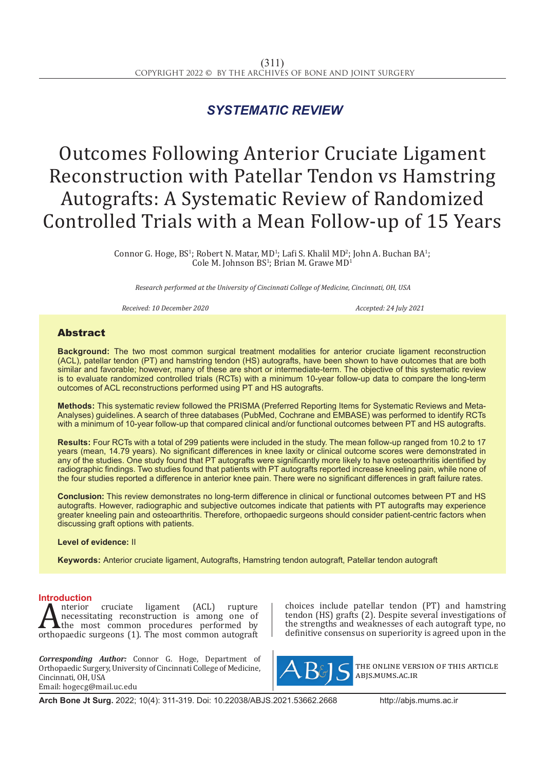# *SYSTEMATIC REVIEW*

# Outcomes Following Anterior Cruciate Ligament Reconstruction with Patellar Tendon vs Hamstring Autografts: A Systematic Review of Randomized Controlled Trials with a Mean Follow-up of 15 Years

Connor G. Hoge, BS<sup>1</sup>; Robert N. Matar, MD<sup>1</sup>; Lafi S. Khalil MD<sup>2</sup>; John A. Buchan BA<sup>1</sup>; Cole M. Johnson  $BS^1$ ; Brian M. Grawe  $MD^1$ 

*Research performed at the University of Cincinnati College of Medicine, Cincinnati, OH, USA*

*Received: 10 December 2020 Accepted: 24 July 2021*

# Abstract

**Background:** The two most common surgical treatment modalities for anterior cruciate ligament reconstruction (ACL), patellar tendon (PT) and hamstring tendon (HS) autografts, have been shown to have outcomes that are both similar and favorable; however, many of these are short or intermediate-term. The objective of this systematic review is to evaluate randomized controlled trials (RCTs) with a minimum 10-year follow-up data to compare the long-term outcomes of ACL reconstructions performed using PT and HS autografts.

**Methods:** This systematic review followed the PRISMA (Preferred Reporting Items for Systematic Reviews and Meta-Analyses) guidelines. A search of three databases (PubMed, Cochrane and EMBASE) was performed to identify RCTs with a minimum of 10-year follow-up that compared clinical and/or functional outcomes between PT and HS autografts.

**Results:** Four RCTs with a total of 299 patients were included in the study. The mean follow-up ranged from 10.2 to 17 years (mean, 14.79 years). No significant differences in knee laxity or clinical outcome scores were demonstrated in any of the studies. One study found that PT autografts were significantly more likely to have osteoarthritis identified by radiographic findings. Two studies found that patients with PT autografts reported increase kneeling pain, while none of the four studies reported a difference in anterior knee pain. There were no significant differences in graft failure rates.

**Conclusion:** This review demonstrates no long-term difference in clinical or functional outcomes between PT and HS autografts. However, radiographic and subjective outcomes indicate that patients with PT autografts may experience greater kneeling pain and osteoarthritis. Therefore, orthopaedic surgeons should consider patient-centric factors when discussing graft options with patients.

**Level of evidence:** II

**Keywords:** Anterior cruciate ligament, Autografts, Hamstring tendon autograft, Patellar tendon autograft

# **Introduction**

**A**nterior cruciate ligament (ACL) rupture<br>necessitating reconstruction is among one of<br>orthopaedic surgeons (1). The most common autograft necessitating reconstruction is among one of the most common procedures performed by orthopaedic surgeons (1). The most common autograft

*Corresponding Author:* Connor G. Hoge, Department of Orthopaedic Surgery, University of Cincinnati College of Medicine, Cincinnati, OH, USA Email: hogecg@mail.uc.edu

choices include patellar tendon (PT) and hamstring tendon (HS) grafts (2). Despite several investigations of the strengths and weaknesses of each autograft type, no definitive consensus on superiority is agreed upon in the



the online version of this article abjs.mums.ac.ir

**Arch Bone Jt Surg.** 2022; 10(4): 311-319. Doi: 10.22038/ABJS.2021.53662.2668 http://abjs.mums.ac.ir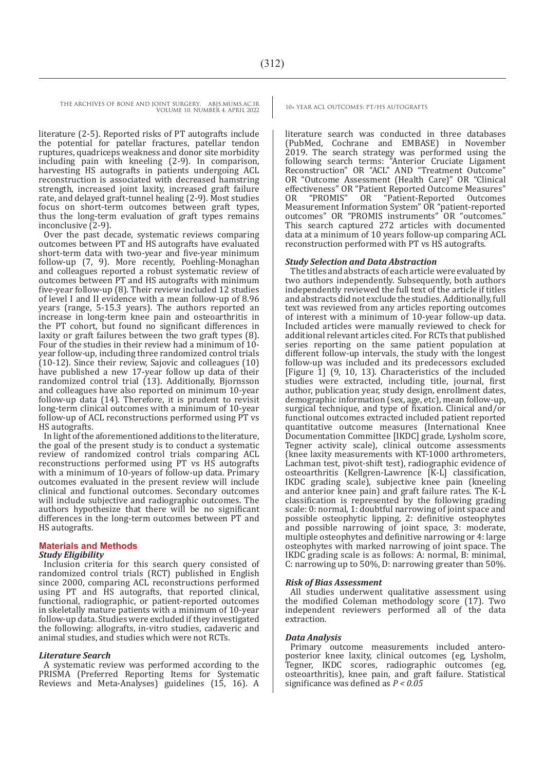literature (2-5). Reported risks of PT autografts include the potential for patellar fractures, patellar tendon ruptures, quadriceps weakness and donor site morbidity including pain with kneeling (2-9). In comparison, harvesting HS autografts in patients undergoing ACL reconstruction is associated with decreased hamstring strength, increased joint laxity, increased graft failure rate, and delayed graft-tunnel healing (2-9). Most studies focus on short-term outcomes between graft types, thus the long-term evaluation of graft types remains inconclusive (2-9).

Over the past decade, systematic reviews comparing outcomes between PT and HS autografts have evaluated short-term data with two-year and five-year minimum follow-up (7, 9). More recently, Poehling-Monaghan and colleagues reported a robust systematic review of outcomes between PT and HS autografts with minimum five-year follow-up (8). Their review included 12 studies of level I and II evidence with a mean follow-up of 8.96 years (range, 5-15.3 years). The authors reported an increase in long-term knee pain and osteoarthritis in the PT cohort, but found no significant differences in laxity or graft failures between the two graft types (8). Four of the studies in their review had a minimum of 10 year follow-up, including three randomized control trials (10-12). Since their review, Sajovic and colleagues (10) have published a new 17-year follow up data of their randomized control trial (13). Additionally, Bjornsson and colleagues have also reported on minimum 10-year follow-up data (14). Therefore, it is prudent to revisit long-term clinical outcomes with a minimum of 10-year follow-up of ACL reconstructions performed using PT vs HS autografts.

In light of the aforementioned additions to the literature, the goal of the present study is to conduct a systematic review of randomized control trials comparing ACL reconstructions performed using PT vs HS autografts with a minimum of 10-years of follow-up data. Primary outcomes evaluated in the present review will include clinical and functional outcomes. Secondary outcomes will include subjective and radiographic outcomes. The authors hypothesize that there will be no significant differences in the long-term outcomes between PT and HS autografts.

#### **Materials and Methods** *Study Eligibility*

Inclusion criteria for this search query consisted of randomized control trials (RCT) published in English since 2000, comparing ACL reconstructions performed using PT and HS autografts, that reported clinical, functional, radiographic, or patient-reported outcomes in skeletally mature patients with a minimum of 10-year follow-up data. Studies were excluded if they investigated the following: allografts, in-vitro studies, cadaveric and animal studies, and studies which were not RCTs.

# *Literature Search*

A systematic review was performed according to the PRISMA (Preferred Reporting Items for Systematic Reviews and Meta-Analyses) guidelines (15, 16). A

literature search was conducted in three databases (PubMed, Cochrane and EMBASE) in November 2019. The search strategy was performed using the following search terms: "Anterior Cruciate Ligament Reconstruction" OR "ACL" AND "Treatment Outcome" OR "Outcome Assessment (Health Care)" OR "Clinical effectiveness" OR "Patient Reported Outcome Measures" OR "PROMIS" OR "Patient-Reported Outcomes OR "PROMIS" OR "Patient-Reported Outcomes Measurement Information System" OR "patient-reported outcomes" OR "PROMIS instruments" OR "outcomes." This search captured 272 articles with documented data at a minimum of 10 years follow-up comparing ACL reconstruction performed with PT vs HS autografts.

# *Study Selection and Data Abstraction*

The titles and abstracts of each article were evaluated by two authors independently. Subsequently, both authors independently reviewed the full text of the article if titles and abstracts did not exclude the studies. Additionally, full text was reviewed from any articles reporting outcomes of interest with a minimum of 10-year follow-up data. Included articles were manually reviewed to check for additional relevant articles cited. For RCTs that published series reporting on the same patient population at different follow-up intervals, the study with the longest follow-up was included and its predecessors excluded [Figure 1] (9, 10, 13). Characteristics of the included studies were extracted, including title, journal, first author, publication year, study design, enrollment dates, demographic information (sex, age, etc), mean follow-up, surgical technique, and type of fixation. Clinical and/or functional outcomes extracted included patient reported quantitative outcome measures (International Knee Documentation Committee [IKDC] grade, Lysholm score, Tegner activity scale), clinical outcome assessments (knee laxity measurements with KT-1000 arthrometers, Lachman test, pivot-shift test), radiographic evidence of osteoarthritis (Kellgren-Lawrence [K-L] classification, IKDC grading scale), subjective knee pain (kneeling and anterior knee pain) and graft failure rates. The K-L classification is represented by the following grading scale: 0: normal, 1: doubtful narrowing of joint space and possible osteophytic lipping, 2: definitive osteophytes and possible narrowing of joint space, 3: moderate, multiple osteophytes and definitive narrowing or 4: large osteophytes with marked narrowing of joint space. The IKDC grading scale is as follows: A: normal, B: minimal, C: narrowing up to 50%, D: narrowing greater than 50%.

#### *Risk of Bias Assessment*

All studies underwent qualitative assessment using the modified Coleman methodology score (17). Two independent reviewers performed all of the data extraction.

#### *Data Analysis*

Primary outcome measurements included anteroposterior knee laxity, clinical outcomes (eg, Lysholm, Tegner, IKDC scores, radiographic outcomes (eg, osteoarthritis), knee pain, and graft failure. Statistical significance was defined as *P < 0.05*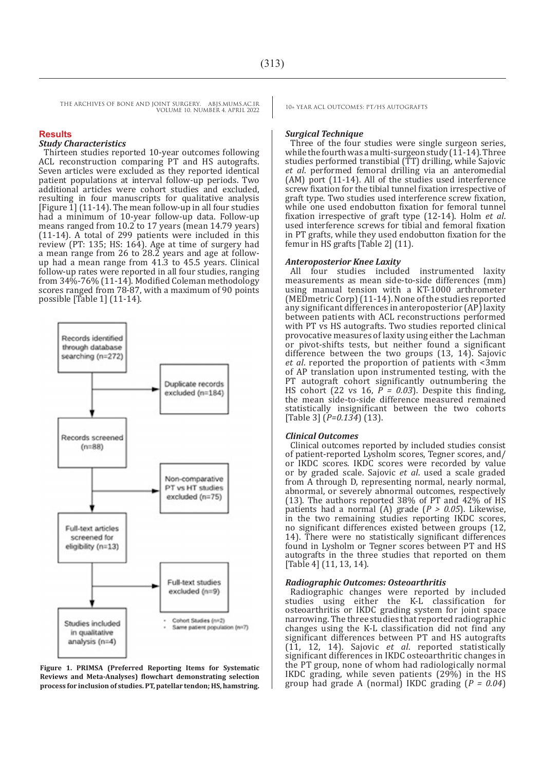#### **Results**

#### *Study Characteristics*

Thirteen studies reported 10-year outcomes following ACL reconstruction comparing PT and HS autografts. Seven articles were excluded as they reported identical patient populations at interval follow-up periods. Two additional articles were cohort studies and excluded, resulting in four manuscripts for qualitative analysis [Figure  $1$ ] (11-14). The mean follow-up in all four studies had a minimum of 10-year follow-up data. Follow-up means ranged from 10.2 to 17 years (mean 14.79 years) (11-14). A total of 299 patients were included in this review (PT: 135; HS: 164). Age at time of surgery had a mean range from 26 to 28.2 years and age at followup had a mean range from 41.3 to 45.5 years. Clinical follow-up rates were reported in all four studies, ranging from 34%-76% (11-14). Modified Coleman methodology scores ranged from 78-87, with a maximum of 90 points possible [Table 1] (11-14).



**Figure 1. PRIMSA (Preferred Reporting Items for Systematic Reviews and Meta-Analyses) flowchart demonstrating selection process for inclusion of studies. PT, patellar tendon; HS, hamstring.**

#### *Surgical Technique*

Three of the four studies were single surgeon series, while the fourth was a multi-surgeon study  $(11-14)$ . Three studies performed transtibial (TT) drilling, while Sajovic *et al*. performed femoral drilling via an anteromedial (AM) port (11-14). All of the studies used interference screw fixation for the tibial tunnel fixation irrespective of graft type. Two studies used interference screw fixation, while one used endobutton fixation for femoral tunnel fixation irrespective of graft type (12-14). Holm *et al*. used interference screws for tibial and femoral fixation in PT grafts, while they used endobutton fixation for the femur in HS grafts [Table 2] (11).

#### *Anteroposterior Knee Laxity*

All four studies included instrumented laxity measurements as mean side-to-side differences (mm) using manual tension with a KT-1000 arthrometer (MEDmetric Corp) (11-14). None of the studies reported any significant differences in anteroposterior (AP) laxity between patients with ACL reconstructions performed with PT vs HS autografts. Two studies reported clinical provocative measures of laxity using either the Lachman or pivot-shifts tests, but neither found a significant difference between the two groups (13, 14). Sajovic *et al*. reported the proportion of patients with <3mm of AP translation upon instrumented testing, with the PT autograft cohort significantly outnumbering the HS cohort (22 vs 16,  $P = 0.03$ ). Despite this finding, the mean side-to-side difference measured remained statistically insignificant between the two cohorts [Table 3] (*P=0.134*) (13).

#### *Clinical Outcomes*

Clinical outcomes reported by included studies consist of patient-reported Lysholm scores, Tegner scores, and/ or IKDC scores. IKDC scores were recorded by value or by graded scale. Sajovic *et al*. used a scale graded from A through D, representing normal, nearly normal, abnormal, or severely abnormal outcomes, respectively (13). The authors reported 38% of PT and 42% of HS patients had a normal (A) grade (*P > 0.05*). Likewise, in the two remaining studies reporting IKDC scores, no significant differences existed between groups (12, 14). There were no statistically significant differences found in Lysholm or Tegner scores between PT and HS autografts in the three studies that reported on them [Table 4] (11, 13, 14).

#### *Radiographic Outcomes: Osteoarthritis*

Radiographic changes were reported by included<br>studies using either the K-L classification for using either the K-L classification for osteoarthritis or IKDC grading system for joint space narrowing. The three studies that reported radiographic changes using the K-L classification did not find any significant differences between PT and HS autografts (11, 12, 14). Sajovic *et al*. reported statistically significant differences in IKDC osteoarthritic changes in the PT group, none of whom had radiologically normal IKDC grading, while seven patients (29%) in the HS group had grade A (normal) IKDC grading (*P = 0.04*)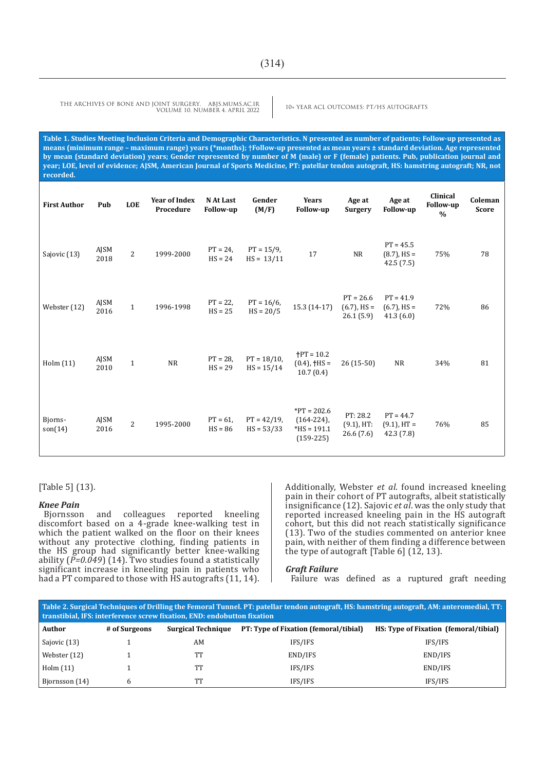**Table 1. Studies Meeting Inclusion Criteria and Demographic Characteristics. N presented as number of patients; Follow-up presented as means (minimum range – maximum range) years (\*months); †Follow-up presented as mean years ± standard deviation. Age represented by mean (standard deviation) years; Gender represented by number of M (male) or F (female) patients. Pub, publication journal and year; LOE, level of evidence; AJSM, American Journal of Sports Medicine, PT: patellar tendon autograft, HS: hamstring autograft; NR, not recorded.**

| <b>First Author</b> | Pub          | <b>LOE</b>     | <b>Year of Index</b><br>Procedure | N At Last<br><b>Follow-up</b> | Gender<br>(M/F)                | Years<br><b>Follow-up</b>                                      | Age at<br><b>Surgery</b>                   | Age at<br><b>Follow-up</b>                  | Clinical<br><b>Follow-up</b><br>$\frac{0}{0}$ | Coleman<br><b>Score</b> |
|---------------------|--------------|----------------|-----------------------------------|-------------------------------|--------------------------------|----------------------------------------------------------------|--------------------------------------------|---------------------------------------------|-----------------------------------------------|-------------------------|
| Sajovic (13)        | AJSM<br>2018 | $\overline{2}$ | 1999-2000                         | $PT = 24,$<br>$HS = 24$       | $PT = 15/9$ ,<br>$HS = 13/11$  | 17                                                             | <b>NR</b>                                  | $PT = 45.5$<br>$(8.7)$ , HS =<br>42.5(7.5)  | 75%                                           | 78                      |
| Webster (12)        | AJSM<br>2016 | $\mathbf{1}$   | 1996-1998                         | $PT = 22$ ,<br>$HS = 25$      | $PT = 16/6$ ,<br>$HS = 20/5$   | 15.3 (14-17)                                                   | $PT = 26.6$<br>$(6.7)$ , HS =<br>26.1(5.9) | $PT = 41.9$<br>$(6.7)$ , HS =<br>41.3(6.0)  | 72%                                           | 86                      |
| Holm (11)           | AJSM<br>2010 | $\mathbf{1}$   | $\rm NR$                          | $PT = 28$ ,<br>$HS = 29$      | $PT = 18/10$ ,<br>$HS = 15/14$ | $+PT = 10.2$<br>$(0.4)$ , $\dagger$ HS =<br>10.7(0.4)          | $26(15-50)$                                | <b>NR</b>                                   | 34%                                           | 81                      |
| Bjorns-<br>son(14)  | AJSM<br>2016 | $\overline{2}$ | 1995-2000                         | $PT = 61,$<br>$HS = 86$       | $PT = 42/19$ ,<br>$HS = 53/33$ | $*PT = 202.6$<br>$(164-224)$ ,<br>$*HS = 191.1$<br>$(159-225)$ | PT: 28.2<br>$(9.1)$ , HT:<br>26.6(7.6)     | $PT = 44.7$<br>$(9.1)$ , HT =<br>42.3 (7.8) | 76%                                           | 85                      |

[Table 5] (13).

#### *Knee Pain*

Bjornsson and colleagues reported kneeling discomfort based on a 4-grade knee-walking test in which the patient walked on the floor on their knees without any protective clothing, finding patients in the HS group had significantly better knee-walking ability (*P=0.049*) (14). Two studies found a statistically significant increase in kneeling pain in patients who had a PT compared to those with HS autografts (11, 14). Additionally, Webster *et al*. found increased kneeling pain in their cohort of PT autografts, albeit statistically insignificance (12). Sajovic *et al*. was the only study that reported increased kneeling pain in the HS autograft cohort, but this did not reach statistically significance (13). Two of the studies commented on anterior knee pain, with neither of them finding a difference between the type of autograft [Table 6] (12, 13).

#### *Graft Failure*

Failure was defined as a ruptured graft needing

| Table 2. Surgical Techniques of Drilling the Femoral Tunnel. PT: patellar tendon autograft, HS: hamstring autograft, AM: anteromedial, TT:<br>transtibial, IFS: interference screw fixation, END: endobutton fixation |               |                           |                                       |                                       |  |  |
|-----------------------------------------------------------------------------------------------------------------------------------------------------------------------------------------------------------------------|---------------|---------------------------|---------------------------------------|---------------------------------------|--|--|
| Author                                                                                                                                                                                                                | # of Surgeons | <b>Surgical Technique</b> | PT: Type of Fixation (femoral/tibial) | HS: Type of Fixation (femoral/tibial) |  |  |
| Sajovic (13)                                                                                                                                                                                                          |               | AM                        | IFS/IFS                               | IFS/IFS                               |  |  |
| Webster (12)                                                                                                                                                                                                          |               | TТ                        | END/IFS                               | END/IFS                               |  |  |
| Holm $(11)$                                                                                                                                                                                                           |               | TТ                        | IFS/IFS                               | END/IFS                               |  |  |
| Biornsson (14)                                                                                                                                                                                                        | 6             | TТ                        | IFS/IFS                               | IFS/IFS                               |  |  |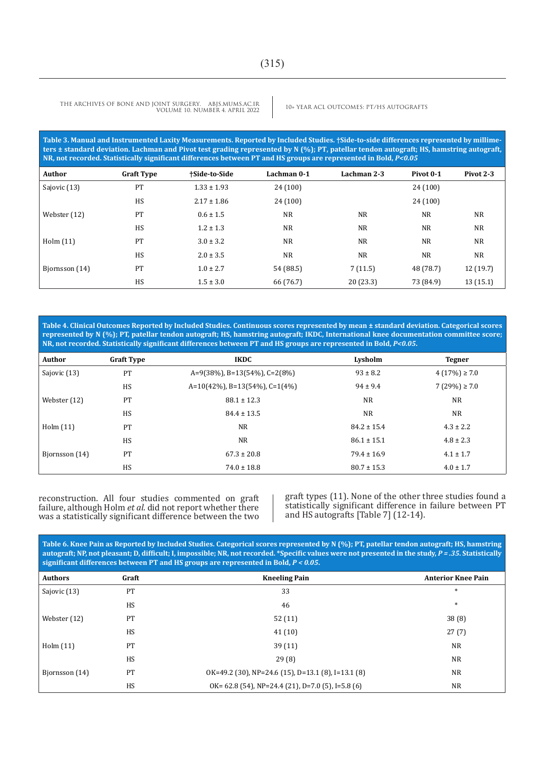**Table 3. Manual and Instrumented Laxity Measurements. Reported by Included Studies. †Side-to-side differences represented by millimeters ± standard deviation. Lachman and Pivot test grading represented by N (%); PT, patellar tendon autograft; HS, hamstring autograft, NR, not recorded. Statistically significant differences between PT and HS groups are represented in Bold,** *P<0.05*

| Author         | <b>Graft Type</b> | +Side-to-Side   | Lachman 0-1 | Lachman 2-3 | Pivot 0-1 | Pivot 2-3 |
|----------------|-------------------|-----------------|-------------|-------------|-----------|-----------|
| Sajovic (13)   | PT                | $1.33 \pm 1.93$ | 24 (100)    |             | 24(100)   |           |
|                | HS                | $2.17 \pm 1.86$ | 24 (100)    |             | 24(100)   |           |
| Webster (12)   | PT                | $0.6 \pm 1.5$   | <b>NR</b>   | NR          | <b>NR</b> | <b>NR</b> |
|                | HS                | $1.2 \pm 1.3$   | <b>NR</b>   | <b>NR</b>   | <b>NR</b> | <b>NR</b> |
| Holm $(11)$    | PT                | $3.0 \pm 3.2$   | <b>NR</b>   | NR          | <b>NR</b> | <b>NR</b> |
|                | HS                | $2.0 \pm 3.5$   | <b>NR</b>   | <b>NR</b>   | <b>NR</b> | <b>NR</b> |
| Bjornsson (14) | PT                | $1.0 \pm 2.7$   | 54 (88.5)   | 7(11.5)     | 48 (78.7) | 12(19.7)  |
|                | HS                | $1.5 \pm 3.0$   | 66 (76.7)   | 20(23.3)    | 73 (84.9) | 13(15.1)  |

**Table 4. Clinical Outcomes Reported by Included Studies. Continuous scores represented by mean ± standard deviation. Categorical scores represented by N (%); PT, patellar tendon autograft; HS, hamstring autograft; IKDC, International knee documentation committee score; NR, not recorded. Statistically significant differences between PT and HS groups are represented in Bold,** *P<0.05***.**

| <b>Author</b>  | <b>Graft Type</b> | <b>IKDC</b>                       | Lysholm         | <b>Tegner</b>      |
|----------------|-------------------|-----------------------------------|-----------------|--------------------|
| Sajovic (13)   | PT                | $A=9(38\%)$ , B=13(54%), C=2(8%)  | $93 \pm 8.2$    | $4(17\%) \geq 7.0$ |
|                | <b>HS</b>         | $A=10(42\%)$ , B=13(54%), C=1(4%) | $94 \pm 9.4$    | $7(29\%) \geq 7.0$ |
| Webster (12)   | PT                | $88.1 \pm 12.3$                   | <b>NR</b>       | NR.                |
|                | <b>HS</b>         | $84.4 \pm 13.5$                   | <b>NR</b>       | <b>NR</b>          |
| Holm $(11)$    | PT                | <b>NR</b>                         | $84.2 \pm 15.4$ | $4.3 \pm 2.2$      |
|                | <b>HS</b>         | <b>NR</b>                         | $86.1 \pm 15.1$ | $4.8 \pm 2.3$      |
| Biornsson (14) | PT                | $67.3 \pm 20.8$                   | $79.4 \pm 16.9$ | $4.1 \pm 1.7$      |
|                | HS                | $74.0 \pm 18.8$                   | $80.7 \pm 15.3$ | $4.0 \pm 1.7$      |

reconstruction. All four studies commented on graft failure, although Holm *et al*. did not report whether there was a statistically significant difference between the two graft types (11). None of the other three studies found a statistically significant difference in failure between PT and HS autografts [Table 7] (12-14).

**Table 6. Knee Pain as Reported by Included Studies. Categorical scores represented by N (%); PT, patellar tendon autograft; HS, hamstring autograft; NP, not pleasant; D, difficult; I, impossible; NR, not recorded. \*Specific values were not presented in the study,** *P = .35***. Statistically significant differences between PT and HS groups are represented in Bold,** *P < 0.05***.**

| <b>Authors</b> | Graft | <b>Kneeling Pain</b>                                 | <b>Anterior Knee Pain</b> |
|----------------|-------|------------------------------------------------------|---------------------------|
| Sajovic (13)   | PT    | 33                                                   | $*$                       |
|                | HS    | 46                                                   | $*$                       |
| Webster (12)   | PT    | 52(11)                                               | 38(8)                     |
|                | HS    | 41(10)                                               | 27(7)                     |
| Holm $(11)$    | PT    | 39(11)                                               | <b>NR</b>                 |
|                | HS    | 29(8)                                                | <b>NR</b>                 |
| Bjornsson (14) | PT    | $OK=49.2$ (30), NP=24.6 (15), D=13.1 (8), I=13.1 (8) | <b>NR</b>                 |
|                | HS    | OK= 62.8 (54), NP=24.4 (21), D=7.0 (5), I=5.8 (6)    | <b>NR</b>                 |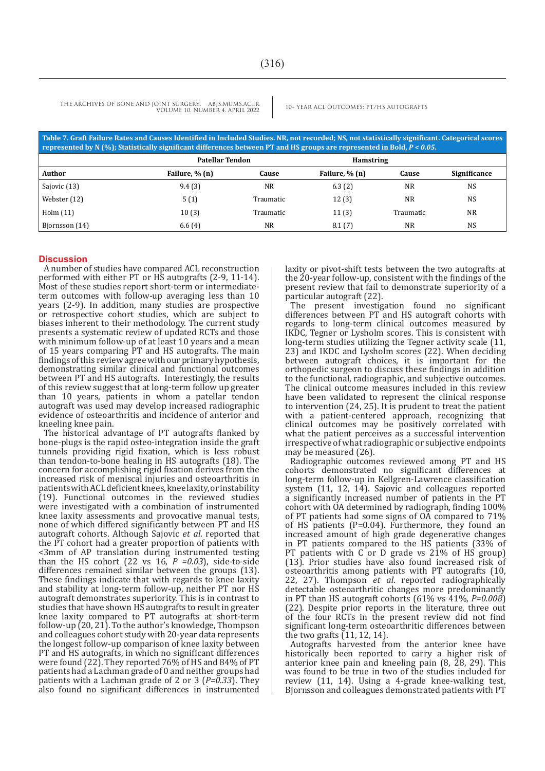| Table 7. Graft Failure Rates and Causes Identified in Included Studies. NR, not recorded; NS, not statistically significant. Categorical scores<br>represented by N $(\%)$ ; Statistically significant differences between PT and HS groups are represented in Bold, $P < 0.05$ . |                        |                  |                  |           |              |  |  |
|-----------------------------------------------------------------------------------------------------------------------------------------------------------------------------------------------------------------------------------------------------------------------------------|------------------------|------------------|------------------|-----------|--------------|--|--|
|                                                                                                                                                                                                                                                                                   | <b>Patellar Tendon</b> |                  | <b>Hamstring</b> |           |              |  |  |
| Author                                                                                                                                                                                                                                                                            | Failure, % (n)         | Cause            | Failure, % (n)   | Cause     | Significance |  |  |
| Sajovic (13)                                                                                                                                                                                                                                                                      | 9.4(3)                 | NR.              | 6.3(2)           | NR.       | <b>NS</b>    |  |  |
| Webster (12)                                                                                                                                                                                                                                                                      | 5(1)                   | <b>Traumatic</b> | 12(3)            | <b>NR</b> | NS           |  |  |
| Holm $(11)$                                                                                                                                                                                                                                                                       | 10(3)                  | Traumatic        | 11(3)            | Traumatic | <b>NR</b>    |  |  |
| Biornsson (14)                                                                                                                                                                                                                                                                    | 6.6(4)                 | NR.              | 8.1(7)           | <b>NR</b> | <b>NS</b>    |  |  |

# **Discussion**

A number of studies have compared ACL reconstruction performed with either PT or HS autografts (2-9, 11-14). Most of these studies report short-term or intermediateterm outcomes with follow-up averaging less than 10 years (2-9). In addition, many studies are prospective or retrospective cohort studies, which are subject to biases inherent to their methodology. The current study presents a systematic review of updated RCTs and those with minimum follow-up of at least 10 years and a mean of 15 years comparing PT and HS autografts. The main findings of this review agree with our primary hypothesis, demonstrating similar clinical and functional outcomes between PT and HS autografts. Interestingly, the results of this review suggest that at long-term follow up greater than 10 years, patients in whom a patellar tendon autograft was used may develop increased radiographic evidence of osteoarthritis and incidence of anterior and kneeling knee pain.

The historical advantage of PT autografts flanked by bone-plugs is the rapid osteo-integration inside the graft tunnels providing rigid fixation, which is less robust than tendon-to-bone healing in HS autografts (18). The concern for accomplishing rigid fixation derives from the increased risk of meniscal injuries and osteoarthritis in patients with ACL deficient knees, knee laxity, or instability (19). Functional outcomes in the reviewed studies were investigated with a combination of instrumented knee laxity assessments and provocative manual tests, none of which differed significantly between PT and HS autograft cohorts. Although Sajovic *et al*. reported that the PT cohort had a greater proportion of patients with <3mm of AP translation during instrumented testing than the HS cohort (22 vs  $16, P = 0.03$ ), side-to-side differences remained similar between the groups (13). These findings indicate that with regards to knee laxity and stability at long-term follow-up, neither PT nor HS autograft demonstrates superiority. This is in contrast to studies that have shown HS autografts to result in greater knee laxity compared to PT autografts at short-term follow-up (20, 21). To the author's knowledge, Thompson and colleagues cohort study with 20-year data represents the longest follow-up comparison of knee laxity between PT and HS autografts, in which no significant differences were found (22). They reported 76% of HS and 84% of PT patients had a Lachman grade of 0 and neither groups had patients with a Lachman grade of 2 or 3 (*P=0.33*). They also found no significant differences in instrumented laxity or pivot-shift tests between the two autografts at the 20-year follow-up, consistent with the findings of the present review that fail to demonstrate superiority of a particular autograft (22).

The present investigation found no significant differences between PT and HS autograft cohorts with regards to long-term clinical outcomes measured by IKDC, Tegner or Lysholm scores. This is consistent with long-term studies utilizing the Tegner activity scale (11, 23) and IKDC and Lysholm scores (22). When deciding between autograft choices, it is important for the orthopedic surgeon to discuss these findings in addition to the functional, radiographic, and subjective outcomes. The clinical outcome measures included in this review have been validated to represent the clinical response to intervention (24, 25). It is prudent to treat the patient with a patient-centered approach, recognizing that clinical outcomes may be positively correlated with what the patient perceives as a successful intervention irrespective of what radiographic or subjective endpoints may be measured (26).

Radiographic outcomes reviewed among PT and HS cohorts demonstrated no significant differences at long-term follow-up in Kellgren-Lawrence classification system (11, 12, 14). Sajovic and colleagues reported a significantly increased number of patients in the PT cohort with OA determined by radiograph, finding 100% of PT patients had some signs of OA compared to 71% of HS patients ( $P=0.04$ ). Furthermore, they found an increased amount of high grade degenerative changes in PT patients compared to the HS patients (33% of PT patients with  $C$  or D grade vs  $21\%$  of HS group) (13). Prior studies have also found increased risk of osteoarthritis among patients with PT autografts (10, 22, 27). Thompson *et al*. reported radiographically detectable osteoarthritic changes more predominantly in PT than HS autograft cohorts (61% vs 41%, *P=0.008*) (22). Despite prior reports in the literature, three out of the four RCTs in the present review did not find significant long-term osteoarthritic differences between the two grafts  $(11, 12, 14)$ .

Autografts harvested from the anterior knee have historically been reported to carry a higher risk of anterior knee pain and kneeling pain (8, 28, 29). This was found to be true in two of the studies included for review (11, 14). Using a 4-grade knee-walking test, Bjornsson and colleagues demonstrated patients with PT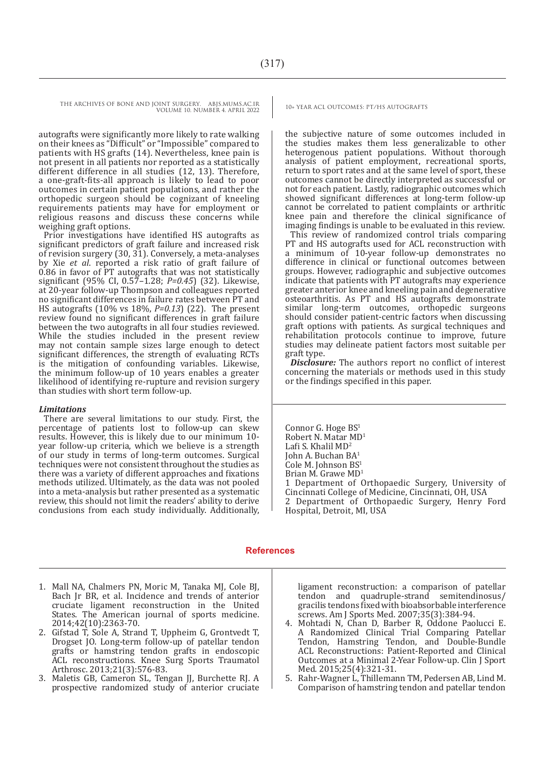autografts were significantly more likely to rate walking on their knees as "Difficult" or "Impossible" compared to patients with HS grafts (14). Nevertheless, knee pain is not present in all patients nor reported as a statistically different difference in all studies (12, 13). Therefore, a one-graft-fits-all approach is likely to lead to poor outcomes in certain patient populations, and rather the orthopedic surgeon should be cognizant of kneeling requirements patients may have for employment or religious reasons and discuss these concerns while weighing graft options.

Prior investigations have identified HS autografts as significant predictors of graft failure and increased risk of revision surgery (30, 31). Conversely, a meta-analyses by Xie *et al*. reported a risk ratio of graft failure of 0.86 in favor of PT autografts that was not statistically significant (95% CI, 0.57–1.28; *P=0.45*) (32). Likewise, at 20-year follow-up Thompson and colleagues reported no significant differences in failure rates between PT and HS autografts (10% vs 18%, *P=0.13*) (22). The present review found no significant differences in graft failure between the two autografts in all four studies reviewed. While the studies included in the present review may not contain sample sizes large enough to detect significant differences, the strength of evaluating RCTs is the mitigation of confounding variables. Likewise, the minimum follow-up of 10 years enables a greater likelihood of identifying re-rupture and revision surgery than studies with short term follow-up.

#### *Limitations*

There are several limitations to our study. First, the percentage of patients lost to follow-up can skew results. However, this is likely due to our minimum 10 year follow-up criteria, which we believe is a strength of our study in terms of long-term outcomes. Surgical techniques were not consistent throughout the studies as there was a variety of different approaches and fixations methods utilized. Ultimately, as the data was not pooled into a meta-analysis but rather presented as a systematic review, this should not limit the readers' ability to derive conclusions from each study individually. Additionally,

the subjective nature of some outcomes included in the studies makes them less generalizable to other heterogenous patient populations. Without thorough analysis of patient employment, recreational sports, return to sport rates and at the same level of sport, these outcomes cannot be directly interpreted as successful or not for each patient. Lastly, radiographic outcomes which showed significant differences at long-term follow-up cannot be correlated to patient complaints or arthritic knee pain and therefore the clinical significance of imaging findings is unable to be evaluated in this review.

This review of randomized control trials comparing PT and HS autografts used for ACL reconstruction with a minimum of 10-year follow-up demonstrates no difference in clinical or functional outcomes between groups. However, radiographic and subjective outcomes indicate that patients with PT autografts may experience greater anterior knee and kneeling pain and degenerative osteoarthritis. As PT and HS autografts demonstrate similar long-term outcomes, orthopedic surgeons should consider patient-centric factors when discussing graft options with patients. As surgical techniques and rehabilitation protocols continue to improve, future studies may delineate patient factors most suitable per graft type.

*Disclosure:* The authors report no conflict of interest concerning the materials or methods used in this study or the findings specified in this paper.

Connor G. Hoge BS<sup>1</sup> Robert N. Matar MD<sup>1</sup> Lafi S. Khalil MD<sup>2</sup> John A. Buchan BA<sup>1</sup> Cole M. Johnson BS<sup>1</sup> Brian M. Grawe MD<sup>1</sup> 1 Department of Orthopaedic Surgery, University of Cincinnati College of Medicine, Cincinnati, OH, USA 2 Department of Orthopaedic Surgery, Henry Ford Hospital, Detroit, MI, USA

#### **References**

- 1. Mall NA, Chalmers PN, Moric M, Tanaka MJ, Cole BJ, Bach Jr BR, et al. Incidence and trends of anterior cruciate ligament reconstruction in the United States. The American journal of sports medicine. 2014;42(10):2363-70.
- 2. Gifstad T, Sole A, Strand T, Uppheim G, Grontvedt T, Drogset JO. Long-term follow-up of patellar tendon grafts or hamstring tendon grafts in endoscopic ACL reconstructions. Knee Surg Sports Traumatol Arthrosc. 2013;21(3):576-83.
- 3. Maletis GB, Cameron SL, Tengan JJ, Burchette RJ. A prospective randomized study of anterior cruciate

ligament reconstruction: a comparison of patellar tendon and quadruple-strand semitendinosus/ gracilis tendons fixed with bioabsorbable interference screws. Am J Sports Med. 2007;35(3):384-94.

- 4. Mohtadi N, Chan D, Barber R, Oddone Paolucci E. A Randomized Clinical Trial Comparing Patellar Tendon, Hamstring Tendon, and Double-Bundle ACL Reconstructions: Patient-Reported and Clinical Outcomes at a Minimal 2-Year Follow-up. Clin J Sport Med. 2015;25(4):321-31.
- 5. Rahr-Wagner L, Thillemann TM, Pedersen AB, Lind M. Comparison of hamstring tendon and patellar tendon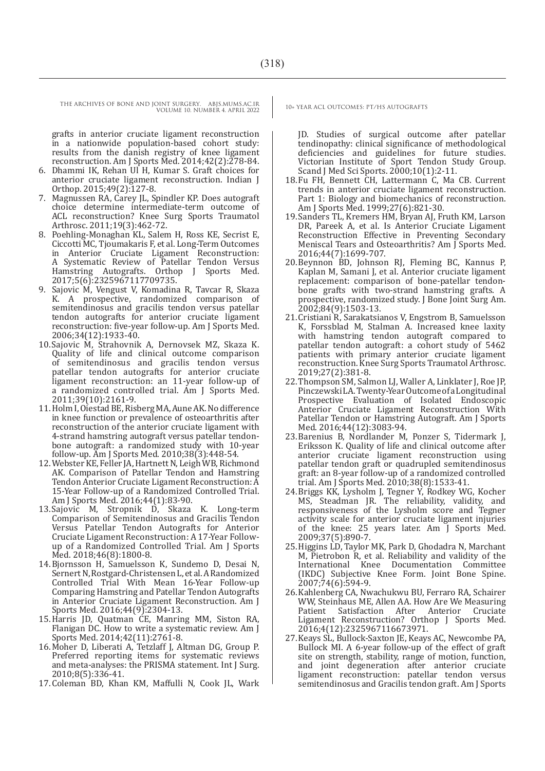grafts in anterior cruciate ligament reconstruction in a nationwide population-based cohort study: results from the danish registry of knee ligament reconstruction. Am J Sports Med. 2014;42(2):278-84.

- 6. Dhammi IK, Rehan Ul H, Kumar S. Graft choices for anterior cruciate ligament reconstruction. Indian J Orthop. 2015;49(2):127-8.
- 7. Magnussen RA, Carey JL, Spindler KP. Does autograft choice determine intermediate-term outcome of ACL reconstruction? Knee Surg Sports Traumatol Arthrosc. 2011;19(3):462-72.
- 8. Poehling-Monaghan KL, Salem H, Ross KE, Secrist E, Ciccotti MC, Tjoumakaris F, et al. Long-Term Outcomes in Anterior Cruciate Ligament Reconstruction: A Systematic Review of Patellar Tendon Versus Hamstring Autografts. Orthop J Sports Med. 2017;5(6):2325967117709735.
- 9. Sajovic M, Vengust V, Komadina R, Tavcar R, Skaza K. A prospective, randomized comparison of semitendinosus and gracilis tendon versus patellar tendon autografts for anterior cruciate ligament reconstruction: five-year follow-up. Am J Sports Med. 2006;34(12):1933-40.
- 10.Sajovic M, Strahovnik A, Dernovsek MZ, Skaza K. Quality of life and clinical outcome comparison of semitendinosus and gracilis tendon versus patellar tendon autografts for anterior cruciate ligament reconstruction: an 11-year follow-up of a randomized controlled trial. Am J Sports Med. 2011;39(10):2161-9.
- 11.Holm I, Oiestad BE, Risberg MA, Aune AK. No difference in knee function or prevalence of osteoarthritis after reconstruction of the anterior cruciate ligament with 4-strand hamstring autograft versus patellar tendonbone autograft: a randomized study with 10-year follow-up. Am J Sports Med. 2010;38(3):448-54.
- 12.Webster KE, Feller JA, Hartnett N, Leigh WB, Richmond AK. Comparison of Patellar Tendon and Hamstring Tendon Anterior Cruciate Ligament Reconstruction: A 15-Year Follow-up of a Randomized Controlled Trial. Am J Sports Med. 2016;44(1):83-90.
- 13. Sajovic M, Stropnik D, Skaza K. Long-term Comparison of Semitendinosus and Gracilis Tendon Versus Patellar Tendon Autografts for Anterior Cruciate Ligament Reconstruction: A 17-Year Followup of a Randomized Controlled Trial. Am J Sports Med. 2018;46(8):1800-8.
- 14.Bjornsson H, Samuelsson K, Sundemo D, Desai N, Sernert N, Rostgard-Christensen L, et al. A Randomized Controlled Trial With Mean 16-Year Follow-up Comparing Hamstring and Patellar Tendon Autografts in Anterior Cruciate Ligament Reconstruction. Am J Sports Med. 2016;44(9):2304-13.
- 15.Harris JD, Quatman CE, Manring MM, Siston RA, Flanigan DC. How to write a systematic review. Am J Sports Med. 2014;42(11):2761-8.
- 16.Moher D, Liberati A, Tetzlaff J, Altman DG, Group P. Preferred reporting items for systematic reviews and meta-analyses: the PRISMA statement. Int J Surg. 2010;8(5):336-41.
- 17.Coleman BD, Khan KM, Maffulli N, Cook JL, Wark

JD. Studies of surgical outcome after patellar tendinopathy: clinical significance of methodological deficiencies and guidelines for future studies. Victorian Institute of Sport Tendon Study Group. Scand J Med Sci Sports. 2000;10(1):2-11.

- 18.Fu FH, Bennett CH, Lattermann C, Ma CB. Current trends in anterior cruciate ligament reconstruction. Part 1: Biology and biomechanics of reconstruction. Am J Sports Med. 1999;27(6):821-30.
- 19.Sanders TL, Kremers HM, Bryan AJ, Fruth KM, Larson DR, Pareek A, et al. Is Anterior Cruciate Ligament Reconstruction Effective in Preventing Secondary Meniscal Tears and Osteoarthritis? Am J Sports Med. 2016;44(7):1699-707.
- 20.Beynnon BD, Johnson RJ, Fleming BC, Kannus P, Kaplan M, Samani J, et al. Anterior cruciate ligament replacement: comparison of bone-patellar tendonbone grafts with two-strand hamstring grafts. A prospective, randomized study. J Bone Joint Surg Am. 2002;84(9):1503-13.
- 21.Cristiani R, Sarakatsianos V, Engstrom B, Samuelsson K, Forssblad M, Stalman A. Increased knee laxity with hamstring tendon autograft compared to patellar tendon autograft: a cohort study of 5462 patients with primary anterior cruciate ligament reconstruction. Knee Surg Sports Traumatol Arthrosc. 2019;27(2):381-8.
- 22.Thompson SM, Salmon LJ, Waller A, Linklater J, Roe JP, Pinczewski LA. Twenty-Year Outcome of a Longitudinal Prospective Evaluation of Isolated Endoscopic Anterior Cruciate Ligament Reconstruction With Patellar Tendon or Hamstring Autograft. Am J Sports Med. 2016;44(12):3083-94.
- 23.Barenius B, Nordlander M, Ponzer S, Tidermark J, Eriksson K. Quality of life and clinical outcome after anterior cruciate ligament reconstruction using patellar tendon graft or quadrupled semitendinosus graft: an 8-year follow-up of a randomized controlled trial. Am J Sports Med. 2010;38(8):1533-41.
- 24.Briggs KK, Lysholm J, Tegner Y, Rodkey WG, Kocher MS, Steadman JR. The reliability, validity, and responsiveness of the Lysholm score and Tegner activity scale for anterior cruciate ligament injuries of the knee: 25 years later. Am J Sports Med. 2009;37(5):890-7.
- 25.Higgins LD, Taylor MK, Park D, Ghodadra N, Marchant M, Pietrobon R, et al. Reliability and validity of the Knee Documentation Committee (IKDC) Subjective Knee Form. Joint Bone Spine. 2007;74(6):594-9.
- 26.Kahlenberg CA, Nwachukwu BU, Ferraro RA, Schairer WW, Steinhaus ME, Allen AA. How Are We Measuring Patient Satisfaction After Anterior Cruciate Ligament Reconstruction? Orthop J Sports Med. 2016;4(12):2325967116673971.
- 27.Keays SL, Bullock-Saxton JE, Keays AC, Newcombe PA, Bullock MI. A 6-year follow-up of the effect of graft site on strength, stability, range of motion, function, and joint degeneration after anterior cruciate ligament reconstruction: patellar tendon versus semitendinosus and Gracilis tendon graft. Am J Sports